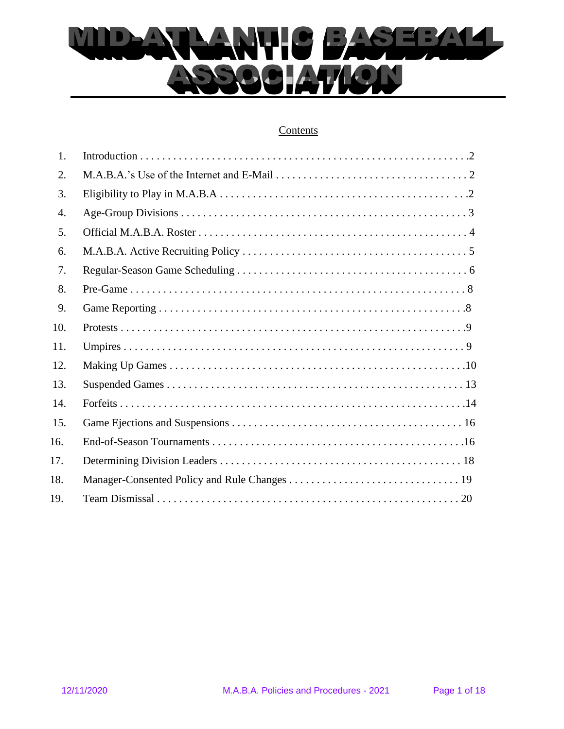

## **Contents**

| 1.  |  |
|-----|--|
| 2.  |  |
| 3.  |  |
| 4.  |  |
| 5.  |  |
| 6.  |  |
| 7.  |  |
| 8.  |  |
| 9.  |  |
| 10. |  |
| 11. |  |
| 12. |  |
| 13. |  |
| 14. |  |
| 15. |  |
| 16. |  |
| 17. |  |
| 18. |  |
| 19. |  |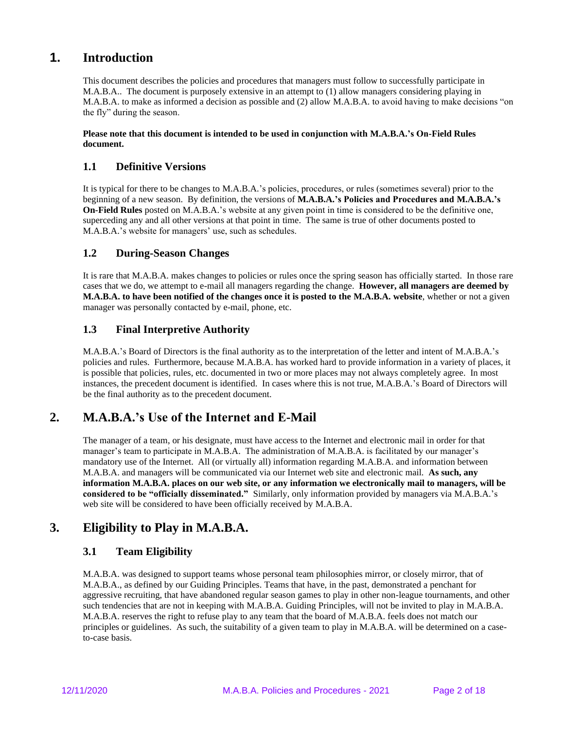# **1. Introduction**

This document describes the policies and procedures that managers must follow to successfully participate in M.A.B.A.. The document is purposely extensive in an attempt to (1) allow managers considering playing in M.A.B.A. to make as informed a decision as possible and (2) allow M.A.B.A. to avoid having to make decisions "on the fly" during the season.

#### **Please note that this document is intended to be used in conjunction with M.A.B.A.'s On-Field Rules document.**

## **1.1 Definitive Versions**

It is typical for there to be changes to M.A.B.A.'s policies, procedures, or rules (sometimes several) prior to the beginning of a new season. By definition, the versions of **M.A.B.A.'s Policies and Procedures and M.A.B.A.'s On-Field Rules** posted on M.A.B.A.'s website at any given point in time is considered to be the definitive one, superceding any and all other versions at that point in time. The same is true of other documents posted to M.A.B.A.'s website for managers' use, such as schedules.

## **1.2 During-Season Changes**

It is rare that M.A.B.A. makes changes to policies or rules once the spring season has officially started. In those rare cases that we do, we attempt to e-mail all managers regarding the change. **However, all managers are deemed by M.A.B.A. to have been notified of the changes once it is posted to the M.A.B.A. website**, whether or not a given manager was personally contacted by e-mail, phone, etc.

## **1.3 Final Interpretive Authority**

M.A.B.A.'s Board of Directors is the final authority as to the interpretation of the letter and intent of M.A.B.A.'s policies and rules. Furthermore, because M.A.B.A. has worked hard to provide information in a variety of places, it is possible that policies, rules, etc. documented in two or more places may not always completely agree. In most instances, the precedent document is identified. In cases where this is not true, M.A.B.A.'s Board of Directors will be the final authority as to the precedent document.

# **2. M.A.B.A.'s Use of the Internet and E-Mail**

The manager of a team, or his designate, must have access to the Internet and electronic mail in order for that manager's team to participate in M.A.B.A. The administration of M.A.B.A. is facilitated by our manager's mandatory use of the Internet. All (or virtually all) information regarding M.A.B.A. and information between M.A.B.A. and managers will be communicated via our Internet web site and electronic mail. **As such, any information M.A.B.A. places on our web site, or any information we electronically mail to managers, will be considered to be "officially disseminated."** Similarly, only information provided by managers via M.A.B.A.'s web site will be considered to have been officially received by M.A.B.A.

# **3. Eligibility to Play in M.A.B.A.**

## **3.1 Team Eligibility**

M.A.B.A. was designed to support teams whose personal team philosophies mirror, or closely mirror, that of M.A.B.A., as defined by our Guiding Principles. Teams that have, in the past, demonstrated a penchant for aggressive recruiting, that have abandoned regular season games to play in other non-league tournaments, and other such tendencies that are not in keeping with M.A.B.A. Guiding Principles, will not be invited to play in M.A.B.A. M.A.B.A. reserves the right to refuse play to any team that the board of M.A.B.A. feels does not match our principles or guidelines. As such, the suitability of a given team to play in M.A.B.A. will be determined on a caseto-case basis.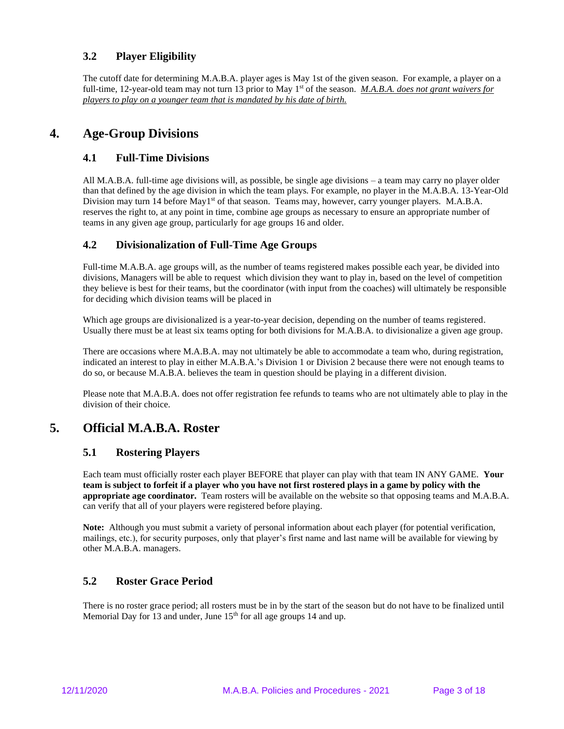## **3.2 Player Eligibility**

The cutoff date for determining M.A.B.A. player ages is May 1st of the given season. For example, a player on a full-time, 12-year-old team may not turn 13 prior to May 1<sup>st</sup> of the season. *M.A.B.A. does not grant waivers for players to play on a younger team that is mandated by his date of birth.*

## **4. Age-Group Divisions**

### **4.1 Full-Time Divisions**

All M.A.B.A. full-time age divisions will, as possible, be single age divisions – a team may carry no player older than that defined by the age division in which the team plays. For example, no player in the M.A.B.A. 13-Year-Old Division may turn 14 before May1<sup>st</sup> of that season. Teams may, however, carry younger players. M.A.B.A. reserves the right to, at any point in time, combine age groups as necessary to ensure an appropriate number of teams in any given age group, particularly for age groups 16 and older.

### **4.2 Divisionalization of Full-Time Age Groups**

Full-time M.A.B.A. age groups will, as the number of teams registered makes possible each year, be divided into divisions, Managers will be able to request which division they want to play in, based on the level of competition they believe is best for their teams, but the coordinator (with input from the coaches) will ultimately be responsible for deciding which division teams will be placed in

Which age groups are divisionalized is a year-to-year decision, depending on the number of teams registered. Usually there must be at least six teams opting for both divisions for M.A.B.A. to divisionalize a given age group.

There are occasions where M.A.B.A. may not ultimately be able to accommodate a team who, during registration, indicated an interest to play in either M.A.B.A.'s Division 1 or Division 2 because there were not enough teams to do so, or because M.A.B.A. believes the team in question should be playing in a different division.

Please note that M.A.B.A. does not offer registration fee refunds to teams who are not ultimately able to play in the division of their choice.

## **5. Official M.A.B.A. Roster**

### **5.1 Rostering Players**

Each team must officially roster each player BEFORE that player can play with that team IN ANY GAME. **Your team is subject to forfeit if a player who you have not first rostered plays in a game by policy with the appropriate age coordinator.** Team rosters will be available on the website so that opposing teams and M.A.B.A. can verify that all of your players were registered before playing.

**Note:** Although you must submit a variety of personal information about each player (for potential verification, mailings, etc.), for security purposes, only that player's first name and last name will be available for viewing by other M.A.B.A. managers.

### **5.2 Roster Grace Period**

There is no roster grace period; all rosters must be in by the start of the season but do not have to be finalized until Memorial Day for 13 and under, June 15<sup>th</sup> for all age groups 14 and up.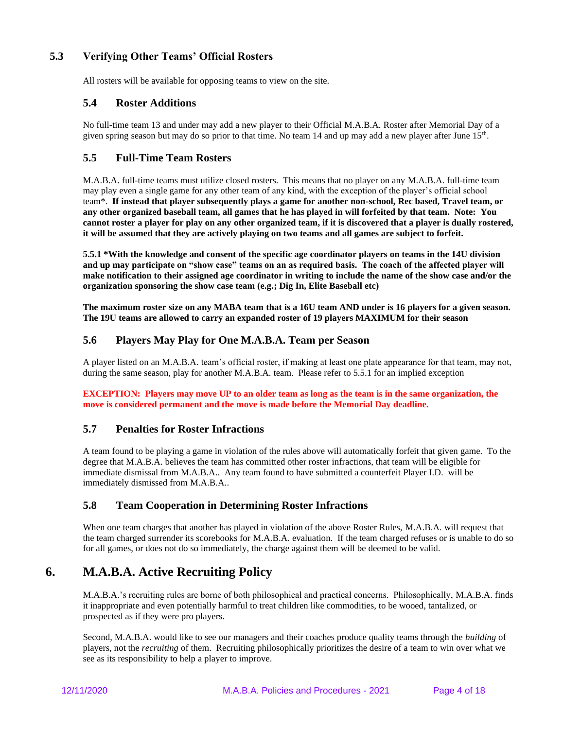## **5.3 Verifying Other Teams' Official Rosters**

All rosters will be available for opposing teams to view on the site.

### **5.4 Roster Additions**

No full-time team 13 and under may add a new player to their Official M.A.B.A. Roster after Memorial Day of a given spring season but may do so prior to that time. No team 14 and up may add a new player after June 15<sup>th</sup>.

### **5.5 Full-Time Team Rosters**

M.A.B.A. full-time teams must utilize closed rosters. This means that no player on any M.A.B.A. full-time team may play even a single game for any other team of any kind, with the exception of the player's official school team\*. **If instead that player subsequently plays a game for another non-school, Rec based, Travel team, or any other organized baseball team, all games that he has played in will forfeited by that team. Note: You cannot roster a player for play on any other organized team, if it is discovered that a player is dually rostered, it will be assumed that they are actively playing on two teams and all games are subject to forfeit.**

**5.5.1 \*With the knowledge and consent of the specific age coordinator players on teams in the 14U division and up may participate on "show case" teams on an as required basis. The coach of the affected player will make notification to their assigned age coordinator in writing to include the name of the show case and/or the organization sponsoring the show case team (e.g.; Dig In, Elite Baseball etc)** 

**The maximum roster size on any MABA team that is a 16U team AND under is 16 players for a given season. The 19U teams are allowed to carry an expanded roster of 19 players MAXIMUM for their season**

### **5.6 Players May Play for One M.A.B.A. Team per Season**

A player listed on an M.A.B.A. team's official roster, if making at least one plate appearance for that team, may not, during the same season, play for another M.A.B.A. team. Please refer to 5.5.1 for an implied exception

**EXCEPTION: Players may move UP to an older team as long as the team is in the same organization, the move is considered permanent and the move is made before the Memorial Day deadline.**

### **5.7 Penalties for Roster Infractions**

A team found to be playing a game in violation of the rules above will automatically forfeit that given game. To the degree that M.A.B.A. believes the team has committed other roster infractions, that team will be eligible for immediate dismissal from M.A.B.A.. Any team found to have submitted a counterfeit Player I.D. will be immediately dismissed from M.A.B.A..

### **5.8 Team Cooperation in Determining Roster Infractions**

When one team charges that another has played in violation of the above Roster Rules, M.A.B.A. will request that the team charged surrender its scorebooks for M.A.B.A. evaluation. If the team charged refuses or is unable to do so for all games, or does not do so immediately, the charge against them will be deemed to be valid.

# **6. M.A.B.A. Active Recruiting Policy**

M.A.B.A.'s recruiting rules are borne of both philosophical and practical concerns. Philosophically, M.A.B.A. finds it inappropriate and even potentially harmful to treat children like commodities, to be wooed, tantalized, or prospected as if they were pro players.

Second, M.A.B.A. would like to see our managers and their coaches produce quality teams through the *building* of players, not the *recruiting* of them. Recruiting philosophically prioritizes the desire of a team to win over what we see as its responsibility to help a player to improve.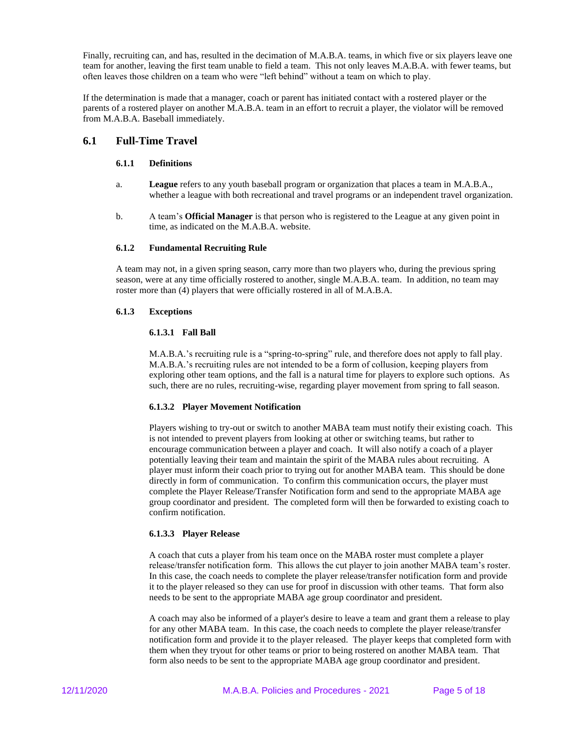Finally, recruiting can, and has, resulted in the decimation of M.A.B.A. teams, in which five or six players leave one team for another, leaving the first team unable to field a team. This not only leaves M.A.B.A. with fewer teams, but often leaves those children on a team who were "left behind" without a team on which to play.

If the determination is made that a manager, coach or parent has initiated contact with a rostered player or the parents of a rostered player on another M.A.B.A. team in an effort to recruit a player, the violator will be removed from M.A.B.A. Baseball immediately.

#### **6.1 Full-Time Travel**

#### **6.1.1 Definitions**

- a. **League** refers to any youth baseball program or organization that places a team in M.A.B.A., whether a league with both recreational and travel programs or an independent travel organization.
- b. A team's **Official Manager** is that person who is registered to the League at any given point in time, as indicated on the M.A.B.A. website.

#### **6.1.2 Fundamental Recruiting Rule**

A team may not, in a given spring season, carry more than two players who, during the previous spring season, were at any time officially rostered to another, single M.A.B.A. team. In addition, no team may roster more than (4) players that were officially rostered in all of M.A.B.A.

#### **6.1.3 Exceptions**

#### **6.1.3.1 Fall Ball**

M.A.B.A.'s recruiting rule is a "spring-to-spring" rule, and therefore does not apply to fall play. M.A.B.A.'s recruiting rules are not intended to be a form of collusion, keeping players from exploring other team options, and the fall is a natural time for players to explore such options. As such, there are no rules, recruiting-wise, regarding player movement from spring to fall season.

#### **6.1.3.2 Player Movement Notification**

Players wishing to try-out or switch to another MABA team must notify their existing coach. This is not intended to prevent players from looking at other or switching teams, but rather to encourage communication between a player and coach. It will also notify a coach of a player potentially leaving their team and maintain the spirit of the MABA rules about recruiting. A player must inform their coach prior to trying out for another MABA team. This should be done directly in form of communication. To confirm this communication occurs, the player must complete the Player Release/Transfer Notification form and send to the appropriate MABA age group coordinator and president. The completed form will then be forwarded to existing coach to confirm notification.

#### **6.1.3.3 Player Release**

A coach that cuts a player from his team once on the MABA roster must complete a player release/transfer notification form. This allows the cut player to join another MABA team's roster. In this case, the coach needs to complete the player release/transfer notification form and provide it to the player released so they can use for proof in discussion with other teams. That form also needs to be sent to the appropriate MABA age group coordinator and president.

A coach may also be informed of a player's desire to leave a team and grant them a release to play for any other MABA team. In this case, the coach needs to complete the player release/transfer notification form and provide it to the player released. The player keeps that completed form with them when they tryout for other teams or prior to being rostered on another MABA team. That form also needs to be sent to the appropriate MABA age group coordinator and president.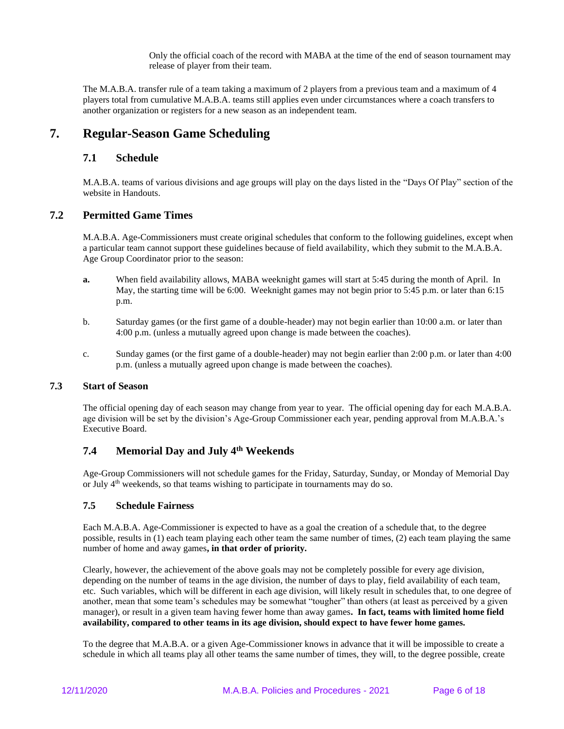Only the official coach of the record with MABA at the time of the end of season tournament may release of player from their team.

The M.A.B.A. transfer rule of a team taking a maximum of 2 players from a previous team and a maximum of 4 players total from cumulative M.A.B.A. teams still applies even under circumstances where a coach transfers to another organization or registers for a new season as an independent team.

## **7. Regular-Season Game Scheduling**

#### **7.1 Schedule**

M.A.B.A. teams of various divisions and age groups will play on the days listed in the "Days Of Play" section of the website in Handouts.

#### **7.2 Permitted Game Times**

M.A.B.A. Age-Commissioners must create original schedules that conform to the following guidelines, except when a particular team cannot support these guidelines because of field availability, which they submit to the M.A.B.A. Age Group Coordinator prior to the season:

- **a.** When field availability allows, MABA weeknight games will start at 5:45 during the month of April. In May, the starting time will be 6:00. Weeknight games may not begin prior to 5:45 p.m. or later than 6:15 p.m.
- b. Saturday games (or the first game of a double-header) may not begin earlier than 10:00 a.m. or later than 4:00 p.m. (unless a mutually agreed upon change is made between the coaches).
- c. Sunday games (or the first game of a double-header) may not begin earlier than 2:00 p.m. or later than 4:00 p.m. (unless a mutually agreed upon change is made between the coaches).

### **7.3 Start of Season**

The official opening day of each season may change from year to year. The official opening day for each M.A.B.A. age division will be set by the division's Age-Group Commissioner each year, pending approval from M.A.B.A.'s Executive Board.

### **7.4 Memorial Day and July 4th Weekends**

Age-Group Commissioners will not schedule games for the Friday, Saturday, Sunday, or Monday of Memorial Day or July  $4<sup>th</sup>$  weekends, so that teams wishing to participate in tournaments may do so.

#### **7.5 Schedule Fairness**

Each M.A.B.A. Age-Commissioner is expected to have as a goal the creation of a schedule that, to the degree possible, results in (1) each team playing each other team the same number of times, (2) each team playing the same number of home and away games**, in that order of priority.**

Clearly, however, the achievement of the above goals may not be completely possible for every age division, depending on the number of teams in the age division, the number of days to play, field availability of each team, etc. Such variables, which will be different in each age division, will likely result in schedules that, to one degree of another, mean that some team's schedules may be somewhat "tougher" than others (at least as perceived by a given manager), or result in a given team having fewer home than away games**. In fact, teams with limited home field availability, compared to other teams in its age division, should expect to have fewer home games.**

To the degree that M.A.B.A. or a given Age-Commissioner knows in advance that it will be impossible to create a schedule in which all teams play all other teams the same number of times, they will, to the degree possible, create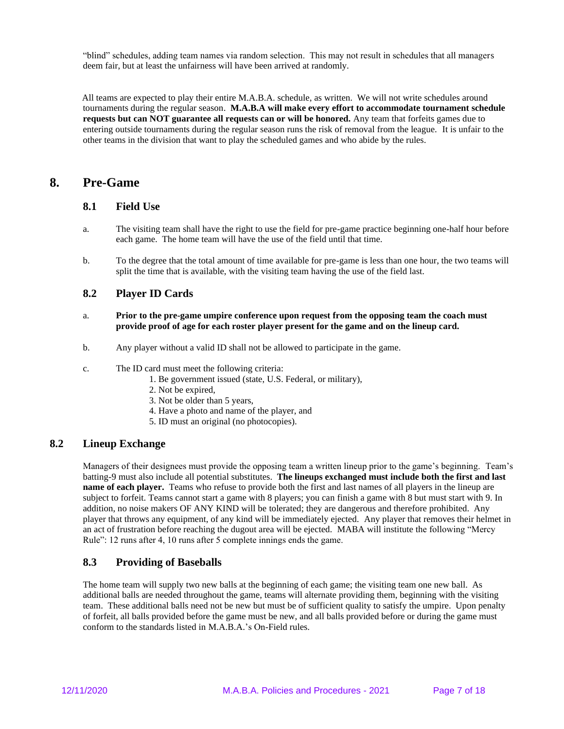"blind" schedules, adding team names via random selection. This may not result in schedules that all managers deem fair, but at least the unfairness will have been arrived at randomly.

 All teams are expected to play their entire M.A.B.A. schedule, as written. We will not write schedules around tournaments during the regular season. **M.A.B.A will make every effort to accommodate tournament schedule requests but can NOT guarantee all requests can or will be honored.** Any team that forfeits games due to entering outside tournaments during the regular season runs the risk of removal from the league. It is unfair to the other teams in the division that want to play the scheduled games and who abide by the rules.

## **8. Pre-Game**

### **8.1 Field Use**

- a. The visiting team shall have the right to use the field for pre-game practice beginning one-half hour before each game. The home team will have the use of the field until that time.
- b. To the degree that the total amount of time available for pre-game is less than one hour, the two teams will split the time that is available, with the visiting team having the use of the field last.

### **8.2 Player ID Cards**

- a. **Prior to the pre-game umpire conference upon request from the opposing team the coach must provide proof of age for each roster player present for the game and on the lineup card.**
- b. Any player without a valid ID shall not be allowed to participate in the game.
- c. The ID card must meet the following criteria:
	- 1. Be government issued (state, U.S. Federal, or military),
	- 2. Not be expired,
	- 3. Not be older than 5 years,
	- 4. Have a photo and name of the player, and
	- 5. ID must an original (no photocopies).

### **8.2 Lineup Exchange**

Managers of their designees must provide the opposing team a written lineup prior to the game's beginning. Team's batting-9 must also include all potential substitutes. **The lineups exchanged must include both the first and last name of each player.** Teams who refuse to provide both the first and last names of all players in the lineup are subject to forfeit. Teams cannot start a game with 8 players; you can finish a game with 8 but must start with 9. In addition, no noise makers OF ANY KIND will be tolerated; they are dangerous and therefore prohibited. Any player that throws any equipment, of any kind will be immediately ejected. Any player that removes their helmet in an act of frustration before reaching the dugout area will be ejected. MABA will institute the following "Mercy Rule": 12 runs after 4, 10 runs after 5 complete innings ends the game.

## **8.3 Providing of Baseballs**

The home team will supply two new balls at the beginning of each game; the visiting team one new ball. As additional balls are needed throughout the game, teams will alternate providing them, beginning with the visiting team. These additional balls need not be new but must be of sufficient quality to satisfy the umpire. Upon penalty of forfeit, all balls provided before the game must be new, and all balls provided before or during the game must conform to the standards listed in M.A.B.A.'s On-Field rules.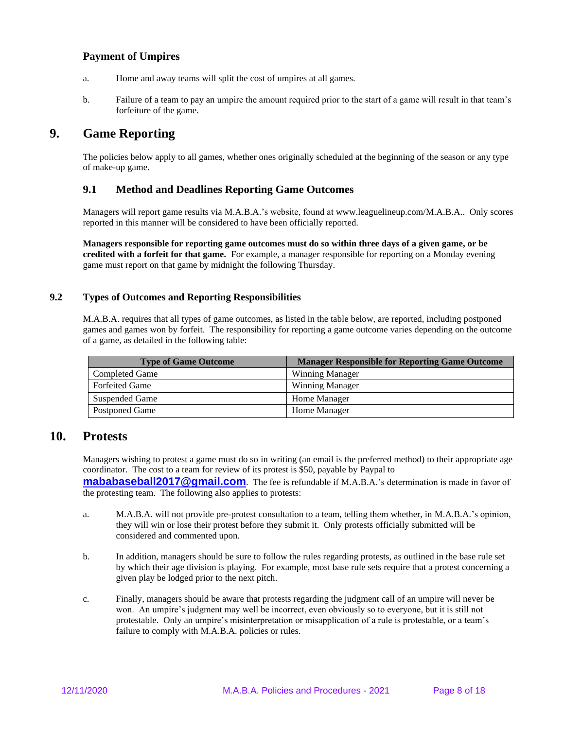### **Payment of Umpires**

- a. Home and away teams will split the cost of umpires at all games.
- b. Failure of a team to pay an umpire the amount required prior to the start of a game will result in that team's forfeiture of the game.

# **9. Game Reporting**

The policies below apply to all games, whether ones originally scheduled at the beginning of the season or any type of make-up game.

### **9.1 Method and Deadlines Reporting Game Outcomes**

Managers will report game results via M.A.B.A.'s website, found a[t www.leaguelineup.com/M.A.B.A..](http://www.leaguelineup.com/MMTA) Only scores reported in this manner will be considered to have been officially reported.

**Managers responsible for reporting game outcomes must do so within three days of a given game, or be credited with a forfeit for that game.** For example, a manager responsible for reporting on a Monday evening game must report on that game by midnight the following Thursday.

#### **9.2 Types of Outcomes and Reporting Responsibilities**

M.A.B.A. requires that all types of game outcomes, as listed in the table below, are reported, including postponed games and games won by forfeit. The responsibility for reporting a game outcome varies depending on the outcome of a game, as detailed in the following table:

| <b>Type of Game Outcome</b> | <b>Manager Responsible for Reporting Game Outcome</b> |
|-----------------------------|-------------------------------------------------------|
| Completed Game              | <b>Winning Manager</b>                                |
| <b>Forfeited Game</b>       | <b>Winning Manager</b>                                |
| Suspended Game              | Home Manager                                          |
| Postponed Game              | Home Manager                                          |

## **10. Protests**

Managers wishing to protest a game must do so in writing (an email is the preferred method) to their appropriate age coordinator. The cost to a team for review of its protest is \$50, payable by Paypal to

**[mababaseball2017@gmail.com](mailto:maba2017@gmail.com)**. The fee is refundable if M.A.B.A.'s determination is made in favor of the protesting team. The following also applies to protests:

- a. M.A.B.A. will not provide pre-protest consultation to a team, telling them whether, in M.A.B.A.'s opinion, they will win or lose their protest before they submit it. Only protests officially submitted will be considered and commented upon.
- b. In addition, managers should be sure to follow the rules regarding protests, as outlined in the base rule set by which their age division is playing. For example, most base rule sets require that a protest concerning a given play be lodged prior to the next pitch.
- c. Finally, managers should be aware that protests regarding the judgment call of an umpire will never be won. An umpire's judgment may well be incorrect, even obviously so to everyone, but it is still not protestable. Only an umpire's misinterpretation or misapplication of a rule is protestable, or a team's failure to comply with M.A.B.A. policies or rules.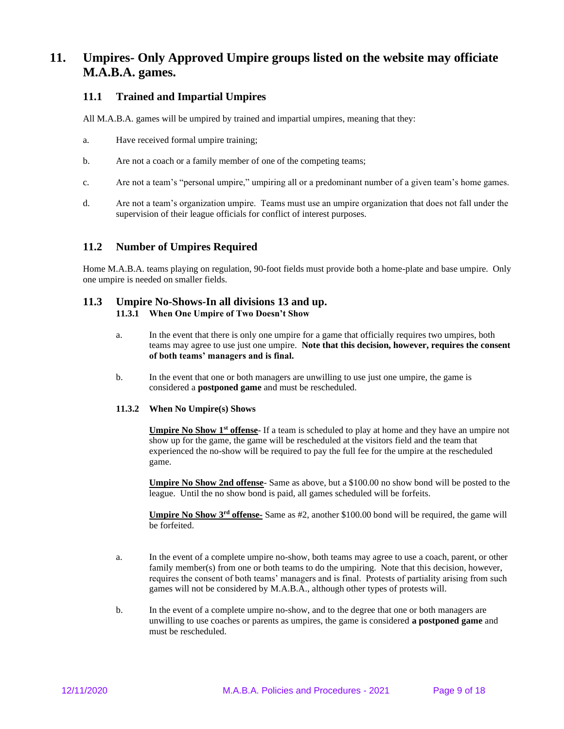# **11. Umpires- Only Approved Umpire groups listed on the website may officiate M.A.B.A. games.**

### **11.1 Trained and Impartial Umpires**

All M.A.B.A. games will be umpired by trained and impartial umpires, meaning that they:

- a. Have received formal umpire training;
- b. Are not a coach or a family member of one of the competing teams;
- c. Are not a team's "personal umpire," umpiring all or a predominant number of a given team's home games.
- d. Are not a team's organization umpire. Teams must use an umpire organization that does not fall under the supervision of their league officials for conflict of interest purposes.

### **11.2 Number of Umpires Required**

Home M.A.B.A. teams playing on regulation, 90-foot fields must provide both a home-plate and base umpire. Only one umpire is needed on smaller fields.

#### **11.3 Umpire No-Shows-In all divisions 13 and up. 11.3.1 When One Umpire of Two Doesn't Show**

- a. In the event that there is only one umpire for a game that officially requires two umpires, both teams may agree to use just one umpire. **Note that this decision, however, requires the consent of both teams' managers and is final.**
- b. In the event that one or both managers are unwilling to use just one umpire, the game is considered a **postponed game** and must be rescheduled.

#### **11.3.2 When No Umpire(s) Shows**

**Umpire No Show 1st offense**- If a team is scheduled to play at home and they have an umpire not show up for the game, the game will be rescheduled at the visitors field and the team that experienced the no-show will be required to pay the full fee for the umpire at the rescheduled game.

**Umpire No Show 2nd offense**- Same as above, but a \$100.00 no show bond will be posted to the league. Until the no show bond is paid, all games scheduled will be forfeits.

**Umpire No Show 3rd offense-** Same as #2, another \$100.00 bond will be required, the game will be forfeited.

- a. In the event of a complete umpire no-show, both teams may agree to use a coach, parent, or other family member(s) from one or both teams to do the umpiring. Note that this decision, however, requires the consent of both teams' managers and is final. Protests of partiality arising from such games will not be considered by M.A.B.A., although other types of protests will.
- b. In the event of a complete umpire no-show, and to the degree that one or both managers are unwilling to use coaches or parents as umpires, the game is considered **a postponed game** and must be rescheduled.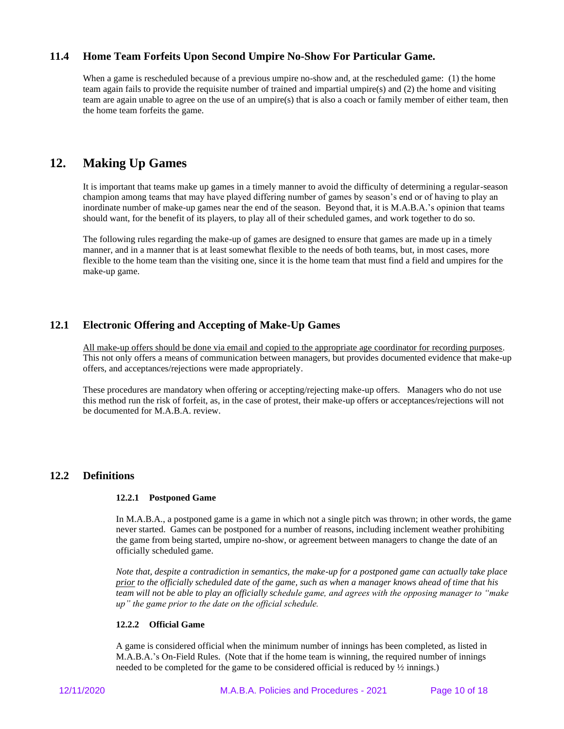### **11.4 Home Team Forfeits Upon Second Umpire No-Show For Particular Game.**

When a game is rescheduled because of a previous umpire no-show and, at the rescheduled game: (1) the home team again fails to provide the requisite number of trained and impartial umpire(s) and (2) the home and visiting team are again unable to agree on the use of an umpire(s) that is also a coach or family member of either team, then the home team forfeits the game.

# **12. Making Up Games**

It is important that teams make up games in a timely manner to avoid the difficulty of determining a regular-season champion among teams that may have played differing number of games by season's end or of having to play an inordinate number of make-up games near the end of the season. Beyond that, it is M.A.B.A.'s opinion that teams should want, for the benefit of its players, to play all of their scheduled games, and work together to do so.

The following rules regarding the make-up of games are designed to ensure that games are made up in a timely manner, and in a manner that is at least somewhat flexible to the needs of both teams, but, in most cases, more flexible to the home team than the visiting one, since it is the home team that must find a field and umpires for the make-up game.

## **12.1 Electronic Offering and Accepting of Make-Up Games**

All make-up offers should be done via email and copied to the appropriate age coordinator for recording purposes. This not only offers a means of communication between managers, but provides documented evidence that make-up offers, and acceptances/rejections were made appropriately.

These procedures are mandatory when offering or accepting/rejecting make-up offers. Managers who do not use this method run the risk of forfeit, as, in the case of protest, their make-up offers or acceptances/rejections will not be documented for M.A.B.A. review.

### **12.2 Definitions**

#### **12.2.1 Postponed Game**

In M.A.B.A., a postponed game is a game in which not a single pitch was thrown; in other words, the game never started. Games can be postponed for a number of reasons, including inclement weather prohibiting the game from being started, umpire no-show, or agreement between managers to change the date of an officially scheduled game.

*Note that, despite a contradiction in semantics, the make-up for a postponed game can actually take place prior to the officially scheduled date of the game, such as when a manager knows ahead of time that his team will not be able to play an officially schedule game, and agrees with the opposing manager to "make up" the game prior to the date on the official schedule.*

#### **12.2.2 Official Game**

A game is considered official when the minimum number of innings has been completed, as listed in M.A.B.A.'s On-Field Rules. (Note that if the home team is winning, the required number of innings needed to be completed for the game to be considered official is reduced by ½ innings.)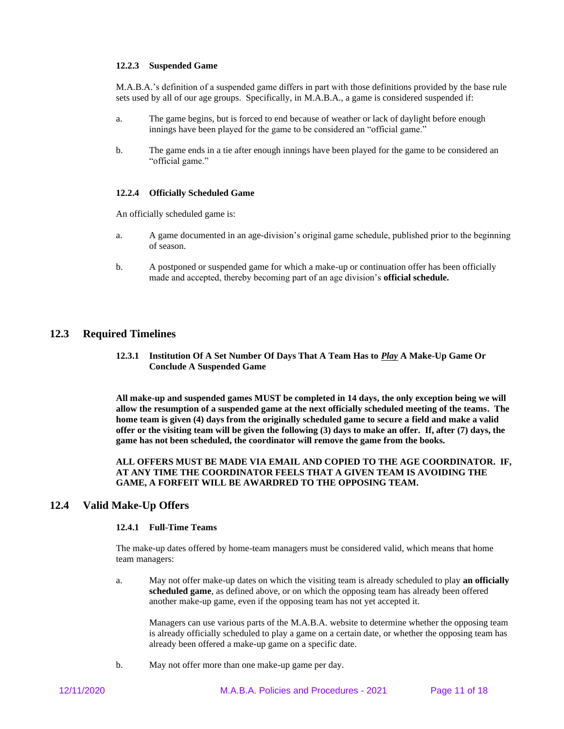#### **12.2.3 Suspended Game**

M.A.B.A.'s definition of a suspended game differs in part with those definitions provided by the base rule sets used by all of our age groups. Specifically, in M.A.B.A., a game is considered suspended if:

- a. The game begins, but is forced to end because of weather or lack of daylight before enough innings have been played for the game to be considered an "official game."
- b. The game ends in a tie after enough innings have been played for the game to be considered an "official game."

#### **12.2.4 Officially Scheduled Game**

An officially scheduled game is:

- a. A game documented in an age-division's original game schedule, published prior to the beginning of season.
- b. A postponed or suspended game for which a make-up or continuation offer has been officially made and accepted, thereby becoming part of an age division's **official schedule.**

#### **12.3 Required Timelines**

**12.3.1 Institution Of A Set Number Of Days That A Team Has to** *Play* **A Make-Up Game Or Conclude A Suspended Game**

**All make-up and suspended games MUST be completed in 14 days, the only exception being we will allow the resumption of a suspended game at the next officially scheduled meeting of the teams. The home team is given (4) days from the originally scheduled game to secure a field and make a valid offer or the visiting team will be given the following (3) days to make an offer. If, after (7) days, the game has not been scheduled, the coordinator will remove the game from the books.**

**ALL OFFERS MUST BE MADE VIA EMAIL AND COPIED TO THE AGE COORDINATOR. IF, AT ANY TIME THE COORDINATOR FEELS THAT A GIVEN TEAM IS AVOIDING THE GAME, A FORFEIT WILL BE AWARDRED TO THE OPPOSING TEAM.** 

### **12.4 Valid Make-Up Offers**

#### **12.4.1 Full-Time Teams**

The make-up dates offered by home-team managers must be considered valid, which means that home team managers:

a. May not offer make-up dates on which the visiting team is already scheduled to play **an officially scheduled game**, as defined above, or on which the opposing team has already been offered another make-up game, even if the opposing team has not yet accepted it.

Managers can use various parts of the M.A.B.A. website to determine whether the opposing team is already officially scheduled to play a game on a certain date, or whether the opposing team has already been offered a make-up game on a specific date.

b. May not offer more than one make-up game per day.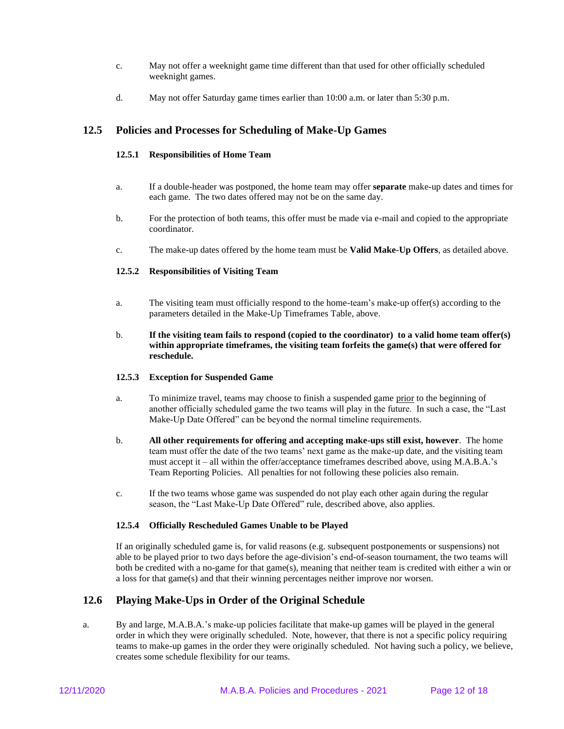- c. May not offer a weeknight game time different than that used for other officially scheduled weeknight games.
- d. May not offer Saturday game times earlier than 10:00 a.m. or later than 5:30 p.m.

### **12.5 Policies and Processes for Scheduling of Make-Up Games**

#### **12.5.1 Responsibilities of Home Team**

- a. If a double-header was postponed, the home team may offer **separate** make-up dates and times for each game. The two dates offered may not be on the same day.
- b. For the protection of both teams, this offer must be made via e-mail and copied to the appropriate coordinator.
- c. The make-up dates offered by the home team must be **Valid Make-Up Offers**, as detailed above.

#### **12.5.2 Responsibilities of Visiting Team**

- a. The visiting team must officially respond to the home-team's make-up offer(s) according to the parameters detailed in the Make-Up Timeframes Table, above.
- b. **If the visiting team fails to respond (copied to the coordinator) to a valid home team offer(s) within appropriate timeframes, the visiting team forfeits the game(s) that were offered for reschedule.**

#### **12.5.3 Exception for Suspended Game**

- a. To minimize travel, teams may choose to finish a suspended game prior to the beginning of another officially scheduled game the two teams will play in the future. In such a case, the "Last Make-Up Date Offered" can be beyond the normal timeline requirements.
- b. **All other requirements for offering and accepting make-ups still exist, however**. The home team must offer the date of the two teams' next game as the make-up date, and the visiting team must accept it – all within the offer/acceptance timeframes described above, using M.A.B.A.'s Team Reporting Policies. All penalties for not following these policies also remain.
- c. If the two teams whose game was suspended do not play each other again during the regular season, the "Last Make-Up Date Offered" rule, described above, also applies.

#### **12.5.4 Officially Rescheduled Games Unable to be Played**

If an originally scheduled game is, for valid reasons (e.g. subsequent postponements or suspensions) not able to be played prior to two days before the age-division's end-of-season tournament, the two teams will both be credited with a no-game for that game(s), meaning that neither team is credited with either a win or a loss for that game(s) and that their winning percentages neither improve nor worsen.

### **12.6 Playing Make-Ups in Order of the Original Schedule**

a. By and large, M.A.B.A.'s make-up policies facilitate that make-up games will be played in the general order in which they were originally scheduled. Note, however, that there is not a specific policy requiring teams to make-up games in the order they were originally scheduled. Not having such a policy, we believe, creates some schedule flexibility for our teams.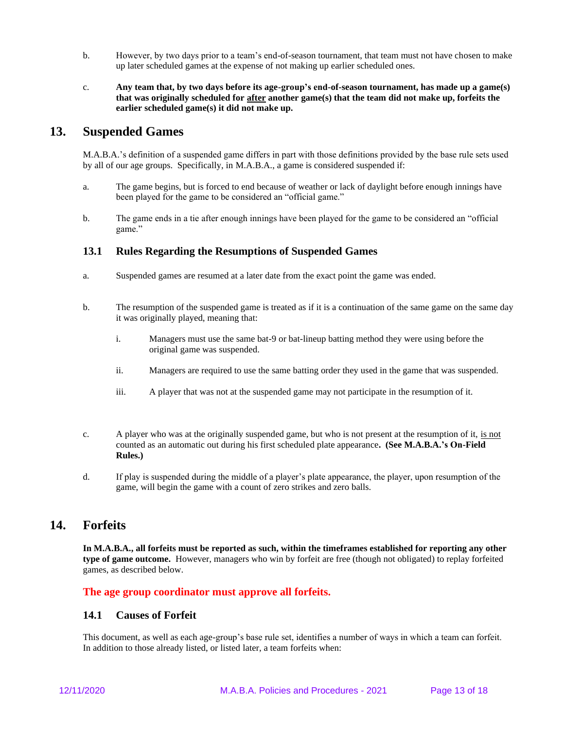- b. However, by two days prior to a team's end-of-season tournament, that team must not have chosen to make up later scheduled games at the expense of not making up earlier scheduled ones.
- c. **Any team that, by two days before its age-group's end-of-season tournament, has made up a game(s) that was originally scheduled for after another game(s) that the team did not make up, forfeits the earlier scheduled game(s) it did not make up.**

## **13. Suspended Games**

M.A.B.A.'s definition of a suspended game differs in part with those definitions provided by the base rule sets used by all of our age groups. Specifically, in M.A.B.A., a game is considered suspended if:

- a. The game begins, but is forced to end because of weather or lack of daylight before enough innings have been played for the game to be considered an "official game."
- b. The game ends in a tie after enough innings have been played for the game to be considered an "official game."

### **13.1 Rules Regarding the Resumptions of Suspended Games**

- a. Suspended games are resumed at a later date from the exact point the game was ended.
- b. The resumption of the suspended game is treated as if it is a continuation of the same game on the same day it was originally played, meaning that:
	- i. Managers must use the same bat-9 or bat-lineup batting method they were using before the original game was suspended.
	- ii. Managers are required to use the same batting order they used in the game that was suspended.
	- iii. A player that was not at the suspended game may not participate in the resumption of it.
- c. A player who was at the originally suspended game, but who is not present at the resumption of it, is not counted as an automatic out during his first scheduled plate appearance**. (See M.A.B.A.'s On-Field Rules.)**
- d. If play is suspended during the middle of a player's plate appearance, the player, upon resumption of the game, will begin the game with a count of zero strikes and zero balls.

## **14. Forfeits**

**In M.A.B.A., all forfeits must be reported as such, within the timeframes established for reporting any other type of game outcome.** However, managers who win by forfeit are free (though not obligated) to replay forfeited games, as described below.

### **The age group coordinator must approve all forfeits.**

### **14.1 Causes of Forfeit**

This document, as well as each age-group's base rule set, identifies a number of ways in which a team can forfeit. In addition to those already listed, or listed later, a team forfeits when: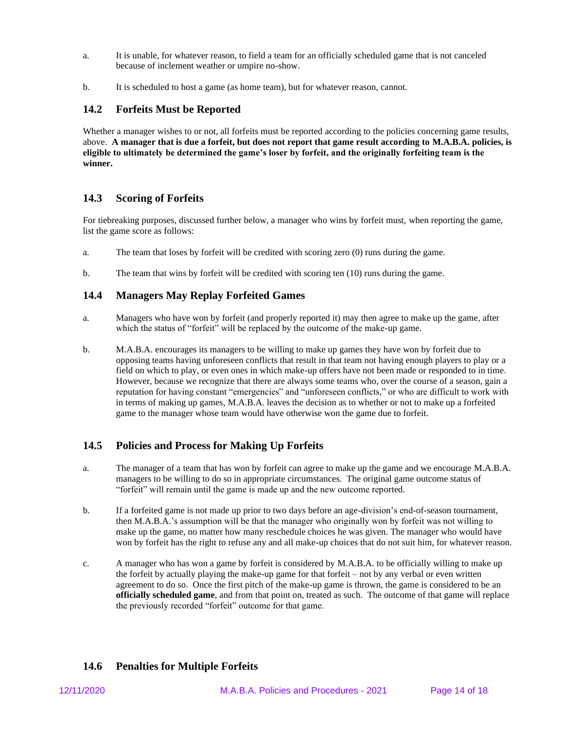- a. It is unable, for whatever reason, to field a team for an officially scheduled game that is not canceled because of inclement weather or umpire no-show.
- b. It is scheduled to host a game (as home team), but for whatever reason, cannot.

### **14.2 Forfeits Must be Reported**

Whether a manager wishes to or not, all forfeits must be reported according to the policies concerning game results, above. **A manager that is due a forfeit, but does not report that game result according to M.A.B.A. policies, is eligible to ultimately be determined the game's loser by forfeit, and the originally forfeiting team is the winner.**

### **14.3 Scoring of Forfeits**

For tiebreaking purposes, discussed further below, a manager who wins by forfeit must, when reporting the game, list the game score as follows:

- a. The team that loses by forfeit will be credited with scoring zero (0) runs during the game.
- b. The team that wins by forfeit will be credited with scoring ten  $(10)$  runs during the game.

### **14.4 Managers May Replay Forfeited Games**

- a. Managers who have won by forfeit (and properly reported it) may then agree to make up the game, after which the status of "forfeit" will be replaced by the outcome of the make-up game.
- b. M.A.B.A. encourages its managers to be willing to make up games they have won by forfeit due to opposing teams having unforeseen conflicts that result in that team not having enough players to play or a field on which to play, or even ones in which make-up offers have not been made or responded to in time. However, because we recognize that there are always some teams who, over the course of a season, gain a reputation for having constant "emergencies" and "unforeseen conflicts," or who are difficult to work with in terms of making up games, M.A.B.A. leaves the decision as to whether or not to make up a forfeited game to the manager whose team would have otherwise won the game due to forfeit.

## **14.5 Policies and Process for Making Up Forfeits**

- a. The manager of a team that has won by forfeit can agree to make up the game and we encourage M.A.B.A. managers to be willing to do so in appropriate circumstances. The original game outcome status of "forfeit" will remain until the game is made up and the new outcome reported.
- b. If a forfeited game is not made up prior to two days before an age-division's end-of-season tournament, then M.A.B.A.'s assumption will be that the manager who originally won by forfeit was not willing to make up the game, no matter how many reschedule choices he was given. The manager who would have won by forfeit has the right to refuse any and all make-up choices that do not suit him, for whatever reason.
- c. A manager who has won a game by forfeit is considered by M.A.B.A. to be officially willing to make up the forfeit by actually playing the make-up game for that forfeit – not by any verbal or even written agreement to do so. Once the first pitch of the make-up game is thrown, the game is considered to be an **officially scheduled game**, and from that point on, treated as such. The outcome of that game will replace the previously recorded "forfeit" outcome for that game.

## **14.6 Penalties for Multiple Forfeits**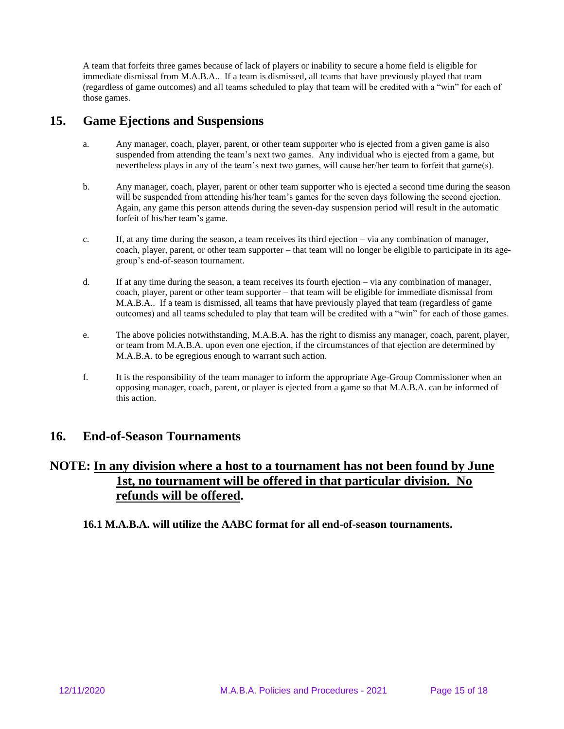A team that forfeits three games because of lack of players or inability to secure a home field is eligible for immediate dismissal from M.A.B.A.. If a team is dismissed, all teams that have previously played that team (regardless of game outcomes) and all teams scheduled to play that team will be credited with a "win" for each of those games.

# **15. Game Ejections and Suspensions**

- a. Any manager, coach, player, parent, or other team supporter who is ejected from a given game is also suspended from attending the team's next two games. Any individual who is ejected from a game, but nevertheless plays in any of the team's next two games, will cause her/her team to forfeit that game(s).
- b. Any manager, coach, player, parent or other team supporter who is ejected a second time during the season will be suspended from attending his/her team's games for the seven days following the second ejection. Again, any game this person attends during the seven-day suspension period will result in the automatic forfeit of his/her team's game.
- c. If, at any time during the season, a team receives its third ejection  $-\nu$  via any combination of manager, coach, player, parent, or other team supporter – that team will no longer be eligible to participate in its agegroup's end-of-season tournament.
- d. If at any time during the season, a team receives its fourth ejection via any combination of manager, coach, player, parent or other team supporter – that team will be eligible for immediate dismissal from M.A.B.A.. If a team is dismissed, all teams that have previously played that team (regardless of game outcomes) and all teams scheduled to play that team will be credited with a "win" for each of those games.
- e. The above policies notwithstanding, M.A.B.A. has the right to dismiss any manager, coach, parent, player, or team from M.A.B.A. upon even one ejection, if the circumstances of that ejection are determined by M.A.B.A. to be egregious enough to warrant such action.
- f. It is the responsibility of the team manager to inform the appropriate Age-Group Commissioner when an opposing manager, coach, parent, or player is ejected from a game so that M.A.B.A. can be informed of this action.

# **16. End-of-Season Tournaments**

# **NOTE: In any division where a host to a tournament has not been found by June 1st, no tournament will be offered in that particular division. No refunds will be offered.**

**16.1 M.A.B.A. will utilize the AABC format for all end-of-season tournaments.**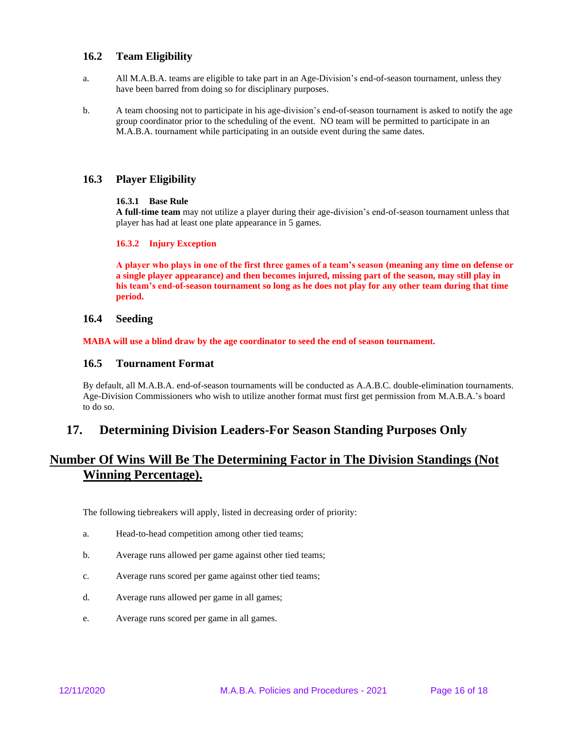### **16.2 Team Eligibility**

- a. All M.A.B.A. teams are eligible to take part in an Age-Division's end-of-season tournament, unless they have been barred from doing so for disciplinary purposes.
- b. A team choosing not to participate in his age-division's end-of-season tournament is asked to notify the age group coordinator prior to the scheduling of the event. NO team will be permitted to participate in an M.A.B.A. tournament while participating in an outside event during the same dates.

### **16.3 Player Eligibility**

#### **16.3.1 Base Rule**

**A full-time team** may not utilize a player during their age-division's end-of-season tournament unless that player has had at least one plate appearance in 5 games.

#### **16.3.2 Injury Exception**

**A player who plays in one of the first three games of a team's season (meaning any time on defense or a single player appearance) and then becomes injured, missing part of the season, may still play in his team's end-of-season tournament so long as he does not play for any other team during that time period.**

#### **16.4 Seeding**

**MABA will use a blind draw by the age coordinator to seed the end of season tournament.**

#### **16.5 Tournament Format**

By default, all M.A.B.A. end-of-season tournaments will be conducted as A.A.B.C. double-elimination tournaments. Age-Division Commissioners who wish to utilize another format must first get permission from M.A.B.A.'s board to do so.

## **17. Determining Division Leaders-For Season Standing Purposes Only**

# **Number Of Wins Will Be The Determining Factor in The Division Standings (Not Winning Percentage).**

The following tiebreakers will apply, listed in decreasing order of priority:

- a. Head-to-head competition among other tied teams;
- b. Average runs allowed per game against other tied teams;
- c. Average runs scored per game against other tied teams;
- d. Average runs allowed per game in all games;
- e. Average runs scored per game in all games.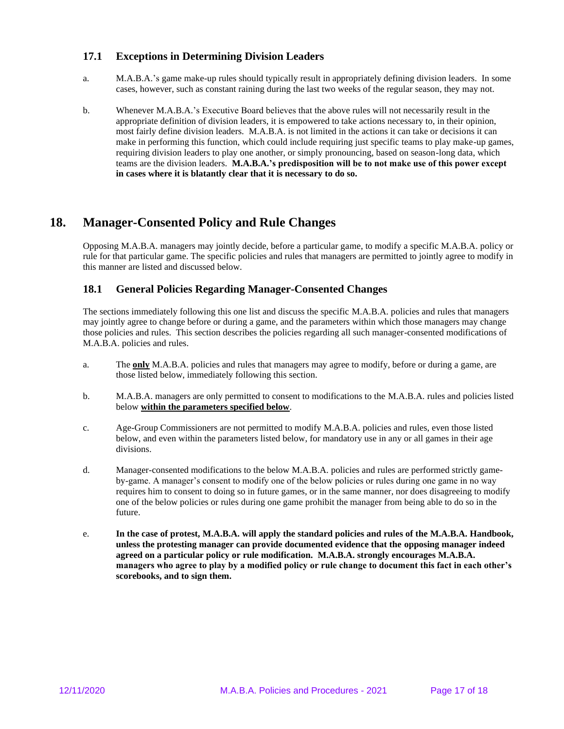### **17.1 Exceptions in Determining Division Leaders**

- a. M.A.B.A.'s game make-up rules should typically result in appropriately defining division leaders. In some cases, however, such as constant raining during the last two weeks of the regular season, they may not.
- b. Whenever M.A.B.A.'s Executive Board believes that the above rules will not necessarily result in the appropriate definition of division leaders, it is empowered to take actions necessary to, in their opinion, most fairly define division leaders. M.A.B.A. is not limited in the actions it can take or decisions it can make in performing this function, which could include requiring just specific teams to play make-up games, requiring division leaders to play one another, or simply pronouncing, based on season-long data, which teams are the division leaders. **M.A.B.A.'s predisposition will be to not make use of this power except in cases where it is blatantly clear that it is necessary to do so.**

# **18. Manager-Consented Policy and Rule Changes**

Opposing M.A.B.A. managers may jointly decide, before a particular game, to modify a specific M.A.B.A. policy or rule for that particular game. The specific policies and rules that managers are permitted to jointly agree to modify in this manner are listed and discussed below.

### **18.1 General Policies Regarding Manager-Consented Changes**

The sections immediately following this one list and discuss the specific M.A.B.A. policies and rules that managers may jointly agree to change before or during a game, and the parameters within which those managers may change those policies and rules. This section describes the policies regarding all such manager-consented modifications of M.A.B.A. policies and rules.

- a. The **only** M.A.B.A. policies and rules that managers may agree to modify, before or during a game, are those listed below, immediately following this section.
- b. M.A.B.A. managers are only permitted to consent to modifications to the M.A.B.A. rules and policies listed below **within the parameters specified below**.
- c. Age-Group Commissioners are not permitted to modify M.A.B.A. policies and rules, even those listed below, and even within the parameters listed below, for mandatory use in any or all games in their age divisions.
- d. Manager-consented modifications to the below M.A.B.A. policies and rules are performed strictly gameby-game. A manager's consent to modify one of the below policies or rules during one game in no way requires him to consent to doing so in future games, or in the same manner, nor does disagreeing to modify one of the below policies or rules during one game prohibit the manager from being able to do so in the future.
- e. **In the case of protest, M.A.B.A. will apply the standard policies and rules of the M.A.B.A. Handbook, unless the protesting manager can provide documented evidence that the opposing manager indeed agreed on a particular policy or rule modification. M.A.B.A. strongly encourages M.A.B.A. managers who agree to play by a modified policy or rule change to document this fact in each other's scorebooks, and to sign them.**